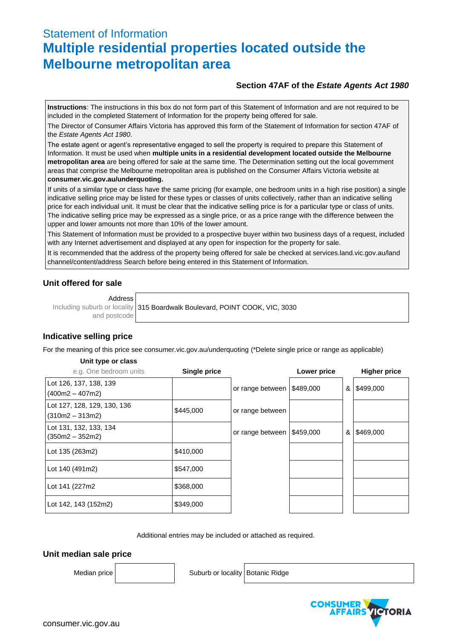# Statement of Information **Multiple residential properties located outside the Melbourne metropolitan area**

# **Section 47AF of the** *Estate Agents Act 1980*

**Instructions**: The instructions in this box do not form part of this Statement of Information and are not required to be included in the completed Statement of Information for the property being offered for sale.

The Director of Consumer Affairs Victoria has approved this form of the Statement of Information for section 47AF of the *Estate Agents Act 1980*.

The estate agent or agent's representative engaged to sell the property is required to prepare this Statement of Information. It must be used when **multiple units in a residential development located outside the Melbourne metropolitan area** are being offered for sale at the same time. The Determination setting out the local government areas that comprise the Melbourne metropolitan area is published on the Consumer Affairs Victoria website at **consumer.vic.gov.au/underquoting.**

If units of a similar type or class have the same pricing (for example, one bedroom units in a high rise position) a single indicative selling price may be listed for these types or classes of units collectively, rather than an indicative selling price for each individual unit. It must be clear that the indicative selling price is for a particular type or class of units. The indicative selling price may be expressed as a single price, or as a price range with the difference between the upper and lower amounts not more than 10% of the lower amount.

This Statement of Information must be provided to a prospective buyer within two business days of a request, included with any Internet advertisement and displayed at any open for inspection for the property for sale.

It is recommended that the address of the property being offered for sale be checked at services.land.vic.gov.au/land channel/content/address Search before being entered in this Statement of Information.

# **Unit offered for sale**

Address

Including suburb or locality and postcode 315 Boardwalk Boulevard, POINT COOK, VIC, 3030

# **Indicative selling price**

For the meaning of this price see consumer.vic.gov.au/underquoting (\*Delete single price or range as applicable)

#### **Unit type or class**

| e.g. One bedroom units                           | Single price |                  | Lower price | <b>Higher price</b> |
|--------------------------------------------------|--------------|------------------|-------------|---------------------|
| Lot 126, 137, 138, 139<br>$(400m2 - 407m2)$      |              | or range between | \$489,000   | & \$499,000         |
| Lot 127, 128, 129, 130, 136<br>$(310m2 - 313m2)$ | \$445,000    | or range between |             |                     |
| Lot 131, 132, 133, 134<br>$(350m2 - 352m2)$      |              | or range between | \$459,000   | $&$ \$469,000       |
| Lot 135 (263m2)                                  | \$410,000    |                  |             |                     |
| Lot 140 (491m2)                                  | \$547,000    |                  |             |                     |
| Lot 141 (227m2)                                  | \$368,000    |                  |             |                     |
| Lot 142, 143 (152m2)                             | \$349,000    |                  |             |                     |

Additional entries may be included or attached as required.

# **Unit median sale price**

Median price | wide | Suburb or locality Botanic Ridge

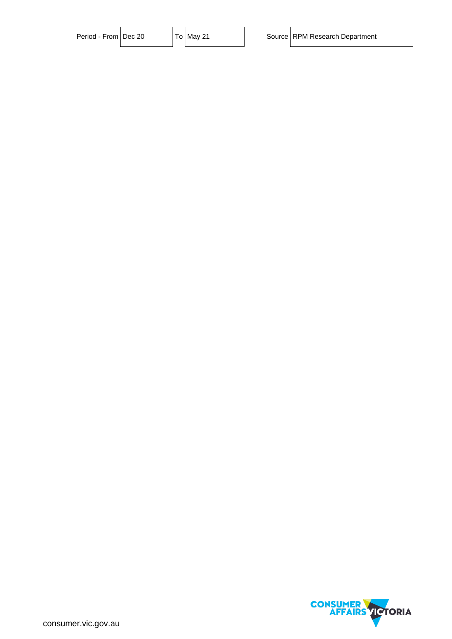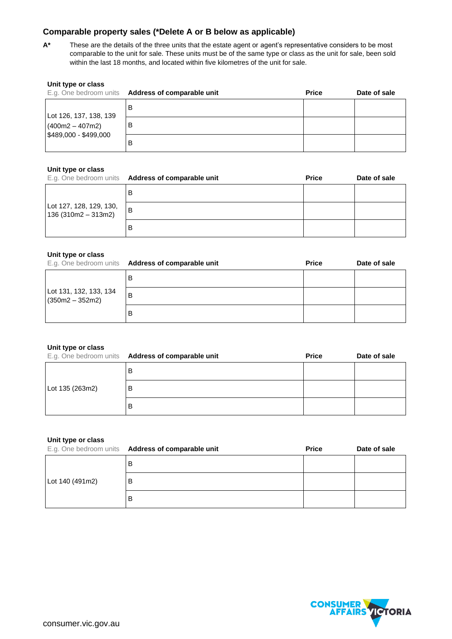# **Comparable property sales (\*Delete A or B below as applicable)**

**A\*** These are the details of the three units that the estate agent or agent's representative considers to be most comparable to the unit for sale. These units must be of the same type or class as the unit for sale, been sold within the last 18 months, and located within five kilometres of the unit for sale.

| Unit type or class                         | E.g. One bedroom units Address of comparable unit | <b>Price</b> | Date of sale |
|--------------------------------------------|---------------------------------------------------|--------------|--------------|
| Lot 126, 137, 138, 139                     | B                                                 |              |              |
| $(400m2 - 407m2)$<br>\$489,000 - \$499,000 | в                                                 |              |              |
|                                            | В                                                 |              |              |

# **Unit type or class**

|                                                | E.g. One bedroom units Address of comparable unit | <b>Price</b> | Date of sale |
|------------------------------------------------|---------------------------------------------------|--------------|--------------|
|                                                |                                                   |              |              |
| Lot 127, 128, 129, 130,<br>136 (310m2 – 313m2) | B                                                 |              |              |
|                                                |                                                   |              |              |

### **Unit type or class**

|                                             | E.g. One bedroom units Address of comparable unit | <b>Price</b> | Date of sale |
|---------------------------------------------|---------------------------------------------------|--------------|--------------|
|                                             | В                                                 |              |              |
| Lot 131, 132, 133, 134<br>$(350m2 - 352m2)$ | B                                                 |              |              |
|                                             | В                                                 |              |              |

#### **Unit type or class**

|                 | E.g. One bedroom units Address of comparable unit | <b>Price</b> | Date of sale |
|-----------------|---------------------------------------------------|--------------|--------------|
| Lot 135 (263m2) | В                                                 |              |              |
|                 | в                                                 |              |              |
|                 | B                                                 |              |              |

#### **Unit type or class**

|                 | E.g. One bedroom units Address of comparable unit | <b>Price</b> | Date of sale |
|-----------------|---------------------------------------------------|--------------|--------------|
| Lot 140 (491m2) | В                                                 |              |              |
|                 | B                                                 |              |              |
|                 | В                                                 |              |              |

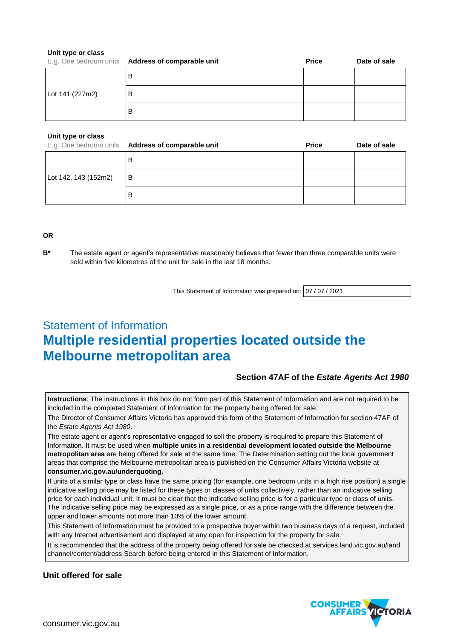#### **Unit type or class**

|                 | E.g. One bedroom units Address of comparable unit | <b>Price</b> | Date of sale |
|-----------------|---------------------------------------------------|--------------|--------------|
| Lot 141 (227m2) | B                                                 |              |              |
|                 | B                                                 |              |              |
|                 | в                                                 |              |              |

#### **Unit type or class**

|                      | E.g. One bedroom units Address of comparable unit | <b>Price</b> | Date of sale |
|----------------------|---------------------------------------------------|--------------|--------------|
| Lot 142, 143 (152m2) | ΈВ                                                |              |              |
|                      | l B                                               |              |              |
|                      | B                                                 |              |              |

#### **OR**

**B\*** The estate agent or agent's representative reasonably believes that fewer than three comparable units were sold within five kilometres of the unit for sale in the last 18 months.

This Statement of Information was prepared on: 07 / 07 / 2021

# Statement of Information **Multiple residential properties located outside the Melbourne metropolitan area**

# **Section 47AF of the** *Estate Agents Act 1980*

**Instructions**: The instructions in this box do not form part of this Statement of Information and are not required to be included in the completed Statement of Information for the property being offered for sale.

The Director of Consumer Affairs Victoria has approved this form of the Statement of Information for section 47AF of the *Estate Agents Act 1980*.

The estate agent or agent's representative engaged to sell the property is required to prepare this Statement of Information. It must be used when **multiple units in a residential development located outside the Melbourne metropolitan area** are being offered for sale at the same time. The Determination setting out the local government areas that comprise the Melbourne metropolitan area is published on the Consumer Affairs Victoria website at **consumer.vic.gov.au/underquoting.**

If units of a similar type or class have the same pricing (for example, one bedroom units in a high rise position) a single indicative selling price may be listed for these types or classes of units collectively, rather than an indicative selling price for each individual unit. It must be clear that the indicative selling price is for a particular type or class of units. The indicative selling price may be expressed as a single price, or as a price range with the difference between the upper and lower amounts not more than 10% of the lower amount.

This Statement of Information must be provided to a prospective buyer within two business days of a request, included with any Internet advertisement and displayed at any open for inspection for the property for sale.

It is recommended that the address of the property being offered for sale be checked at services.land.vic.gov.au/land channel/content/address Search before being entered in this Statement of Information.

# **Unit offered for sale**

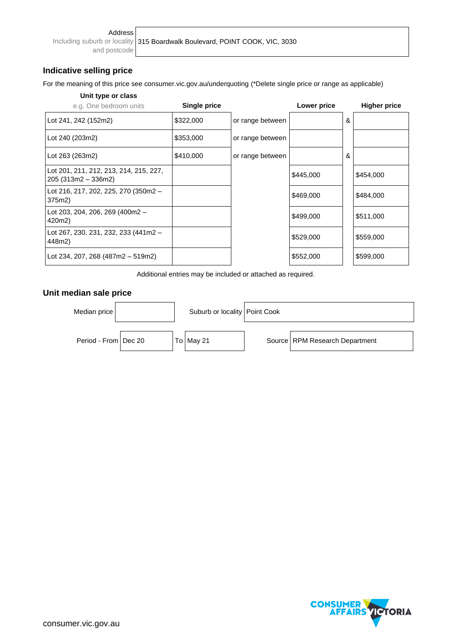and postcode

# **Indicative selling price**

For the meaning of this price see consumer.vic.gov.au/underquoting (\*Delete single price or range as applicable)

# **Unit type or class**

| e.g. One bedroom units                                         | Single price |                  | Lower price |   | <b>Higher price</b> |
|----------------------------------------------------------------|--------------|------------------|-------------|---|---------------------|
| Lot 241, 242 (152m2)                                           | \$322,000    | or range between |             | & |                     |
| Lot 240 (203m2)                                                | \$353,000    | or range between |             |   |                     |
| Lot 263 (263m2)                                                | \$410,000    | or range between |             | & |                     |
| Lot 201, 211, 212, 213, 214, 215, 227,<br>$205(313m2 - 336m2)$ |              |                  | \$445,000   |   | \$454,000           |
| Lot 216, 217, 202, 225, 270 (350m2 -<br>375m2)                 |              |                  | \$469,000   |   | \$484,000           |
| Lot 203, 204, 206, 269 (400m2 -<br>420m2)                      |              |                  | \$499,000   |   | \$511,000           |
| Lot 267, 230, 231, 232, 233 (441m2 -<br>448m2)                 |              |                  | \$529,000   |   | \$559,000           |
| Lot 234, 207, 268 (487m2 - 519m2)                              |              |                  | \$552,000   |   | \$599,000           |

Additional entries may be included or attached as required.

# **Unit median sale price**



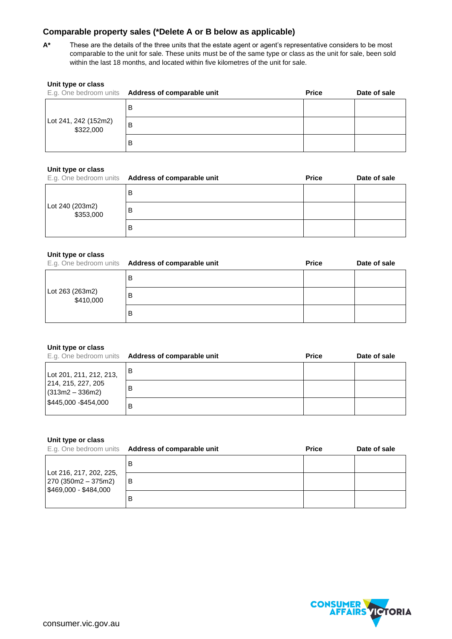# **Comparable property sales (\*Delete A or B below as applicable)**

**A\*** These are the details of the three units that the estate agent or agent's representative considers to be most comparable to the unit for sale. These units must be of the same type or class as the unit for sale, been sold within the last 18 months, and located within five kilometres of the unit for sale.

| Unit type or class                | E.g. One bedroom units Address of comparable unit | <b>Price</b> | Date of sale |
|-----------------------------------|---------------------------------------------------|--------------|--------------|
|                                   | в                                                 |              |              |
| Lot 241, 242 (152m2)<br>\$322,000 | B                                                 |              |              |
|                                   | в                                                 |              |              |

## **Unit type or class**

|                              | E.g. One bedroom units Address of comparable unit | <b>Price</b> | Date of sale |
|------------------------------|---------------------------------------------------|--------------|--------------|
|                              | в                                                 |              |              |
| Lot 240 (203m2)<br>\$353,000 | В                                                 |              |              |
|                              | в                                                 |              |              |

### **Unit type or class**

|                              | E.g. One bedroom units Address of comparable unit | <b>Price</b> | Date of sale |
|------------------------------|---------------------------------------------------|--------------|--------------|
|                              | В                                                 |              |              |
| Lot 263 (263m2)<br>\$410,000 | В                                                 |              |              |
|                              | В                                                 |              |              |

#### **Unit type or class**

|                                                                            | E.g. One bedroom units Address of comparable unit | <b>Price</b> | Date of sale |
|----------------------------------------------------------------------------|---------------------------------------------------|--------------|--------------|
| Lot 201, 211, 212, 213,                                                    | в                                                 |              |              |
| 214, 215, 227, 205<br>$(313m2 - 336m2)$<br>$\frac{1}{2}445,000 - $454,000$ | В                                                 |              |              |
|                                                                            | В                                                 |              |              |

#### **Unit type or class**

|                                                                          | E.g. One bedroom units Address of comparable unit | <b>Price</b> | Date of sale |
|--------------------------------------------------------------------------|---------------------------------------------------|--------------|--------------|
| Lot 216, 217, 202, 225,<br>$270(350m2 - 375m2)$<br>$$469,000 - $484,000$ |                                                   |              |              |
|                                                                          | B                                                 |              |              |
|                                                                          |                                                   |              |              |

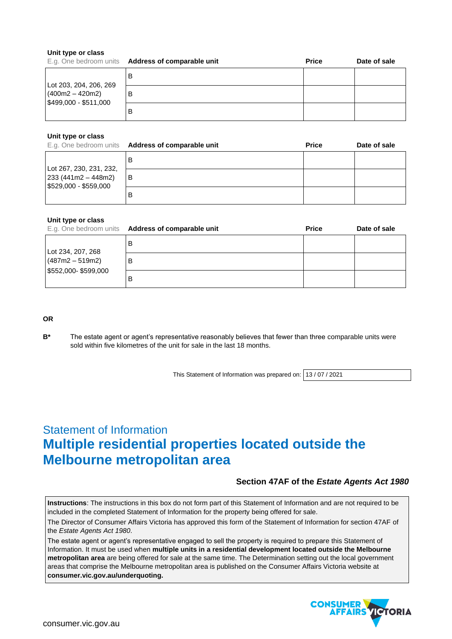#### **Unit type or class**

|                                                                                | E.g. One bedroom units Address of comparable unit | <b>Price</b> | Date of sale |
|--------------------------------------------------------------------------------|---------------------------------------------------|--------------|--------------|
| Lot 203, 204, 206, 269<br>$(400m2 - 420m2)$<br>$\frac{1}{2}499,000 - $511,000$ |                                                   |              |              |
|                                                                                | в                                                 |              |              |
|                                                                                | в                                                 |              |              |

### **Unit type or class**

|                                                                                            | E.g. One bedroom units Address of comparable unit | <b>Price</b> | Date of sale |
|--------------------------------------------------------------------------------------------|---------------------------------------------------|--------------|--------------|
| Lot 267, 230, 231, 232,<br>$\left  233 \right $ (441 m2 – 448 m2)<br>\$529,000 - \$559,000 | в                                                 |              |              |
|                                                                                            | B                                                 |              |              |
|                                                                                            | в                                                 |              |              |

#### **Unit type or class**

|                                                               | E.g. One bedroom units Address of comparable unit | <b>Price</b> | Date of sale |
|---------------------------------------------------------------|---------------------------------------------------|--------------|--------------|
| Lot 234, 207, 268<br>$(487m2 - 519m2)$<br>\$552,000-\$599,000 | в                                                 |              |              |
|                                                               | В                                                 |              |              |
|                                                               | В                                                 |              |              |

## **OR**

**B\*** The estate agent or agent's representative reasonably believes that fewer than three comparable units were sold within five kilometres of the unit for sale in the last 18 months.

This Statement of Information was prepared on: 13 / 07 / 2021

# Statement of Information **Multiple residential properties located outside the Melbourne metropolitan area**

# **Section 47AF of the** *Estate Agents Act 1980*

**Instructions**: The instructions in this box do not form part of this Statement of Information and are not required to be included in the completed Statement of Information for the property being offered for sale.

The Director of Consumer Affairs Victoria has approved this form of the Statement of Information for section 47AF of the *Estate Agents Act 1980*.

The estate agent or agent's representative engaged to sell the property is required to prepare this Statement of Information. It must be used when **multiple units in a residential development located outside the Melbourne metropolitan area** are being offered for sale at the same time. The Determination setting out the local government areas that comprise the Melbourne metropolitan area is published on the Consumer Affairs Victoria website at **consumer.vic.gov.au/underquoting.**

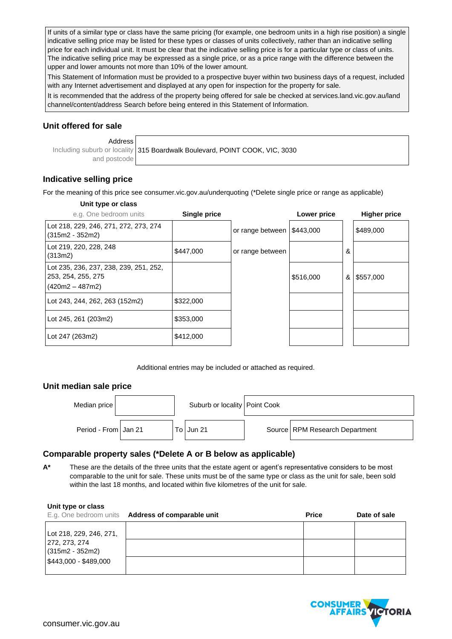If units of a similar type or class have the same pricing (for example, one bedroom units in a high rise position) a single indicative selling price may be listed for these types or classes of units collectively, rather than an indicative selling price for each individual unit. It must be clear that the indicative selling price is for a particular type or class of units. The indicative selling price may be expressed as a single price, or as a price range with the difference between the upper and lower amounts not more than 10% of the lower amount.

This Statement of Information must be provided to a prospective buyer within two business days of a request, included with any Internet advertisement and displayed at any open for inspection for the property for sale.

It is recommended that the address of the property being offered for sale be checked at services.land.vic.gov.au/land channel/content/address Search before being entered in this Statement of Information.

# **Unit offered for sale**

Address Including suburb or locality and postcode 315 Boardwalk Boulevard, POINT COOK, VIC, 3030

# **Indicative selling price**

For the meaning of this price see consumer.vic.gov.au/underquoting (\*Delete single price or range as applicable)

## **Unit type or class**

| e.g. One bedroom units                                                          | Single price |                  | Lower price |   | <b>Higher price</b> |
|---------------------------------------------------------------------------------|--------------|------------------|-------------|---|---------------------|
| Lot 218, 229, 246, 271, 272, 273, 274<br>$(315m2 - 352m2)$                      |              | or range between | \$443,000   |   | \$489,000           |
| Lot 219, 220, 228, 248<br>(313m2)                                               | \$447,000    | or range between |             | & |                     |
| Lot 235, 236, 237, 238, 239, 251, 252,<br>253, 254, 255, 275<br>(420m2 – 487m2) |              |                  | \$516,000   |   | & \$557,000         |
| Lot 243, 244, 262, 263 (152m2)                                                  | \$322,000    |                  |             |   |                     |
| Lot 245, 261 (203m2)                                                            | \$353,000    |                  |             |   |                     |
| Lot 247 (263m2)                                                                 | \$412,000    |                  |             |   |                     |

Additional entries may be included or attached as required.

# **Unit median sale price**

| Median price           |  | Suburb or locality   Point Cook |                                  |
|------------------------|--|---------------------------------|----------------------------------|
| Period - From   Jan 21 |  | To Jun 21                       | Source   RPM Research Department |

# **Comparable property sales (\*Delete A or B below as applicable)**

**A\*** These are the details of the three units that the estate agent or agent's representative considers to be most comparable to the unit for sale. These units must be of the same type or class as the unit for sale, been sold within the last 18 months, and located within five kilometres of the unit for sale.

| Unit type or class                                                                     | E.g. One bedroom units Address of comparable unit | <b>Price</b> | Date of sale |
|----------------------------------------------------------------------------------------|---------------------------------------------------|--------------|--------------|
| Lot 218, 229, 246, 271,<br>272, 273, 274<br>$(315m2 - 352m2)$<br>$$443,000 - $489,000$ |                                                   |              |              |

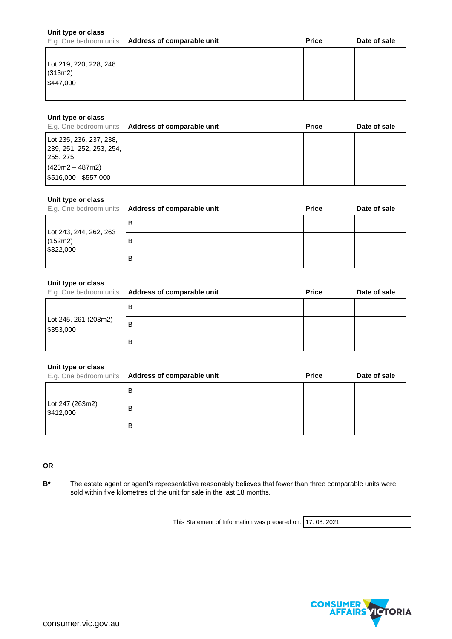#### **Unit type or class**

|                        | E.g. One bedroom units Address of comparable unit | <b>Price</b> | Date of sale |
|------------------------|---------------------------------------------------|--------------|--------------|
| Lot 219, 220, 228, 248 |                                                   |              |              |
| (313m2)<br>\$447,000   |                                                   |              |              |
|                        |                                                   |              |              |

#### **Unit type or class**

|                                                         | E.g. One bedroom units Address of comparable unit | <b>Price</b> | Date of sale |
|---------------------------------------------------------|---------------------------------------------------|--------------|--------------|
| Lot 235, 236, 237, 238,<br>  239, 251, 252, 253, 254,   |                                                   |              |              |
| 255, 275<br>$(420m2 - 487m2)$<br>$ $516,000 - $557,000$ |                                                   |              |              |
|                                                         |                                                   |              |              |

### **Unit type or class**

|                                                | E.g. One bedroom units Address of comparable unit | <b>Price</b> | Date of sale |
|------------------------------------------------|---------------------------------------------------|--------------|--------------|
| Lot 243, 244, 262, 263<br>(152m2)<br>\$322,000 | в                                                 |              |              |
|                                                |                                                   |              |              |
|                                                | в                                                 |              |              |

#### **Unit type or class**

|                                   | E.g. One bedroom units Address of comparable unit | <b>Price</b> | Date of sale |
|-----------------------------------|---------------------------------------------------|--------------|--------------|
| Lot 245, 261 (203m2)<br>\$353,000 | B                                                 |              |              |
|                                   | B                                                 |              |              |
|                                   | B                                                 |              |              |

#### **Unit type or class**

|                              | E.g. One bedroom units Address of comparable unit | <b>Price</b> | Date of sale |
|------------------------------|---------------------------------------------------|--------------|--------------|
| Lot 247 (263m2)<br>\$412,000 | В                                                 |              |              |
|                              | В                                                 |              |              |
|                              | в                                                 |              |              |

## **OR**

**B\*** The estate agent or agent's representative reasonably believes that fewer than three comparable units were sold within five kilometres of the unit for sale in the last 18 months.

This Statement of Information was prepared on: 17. 08. 2021

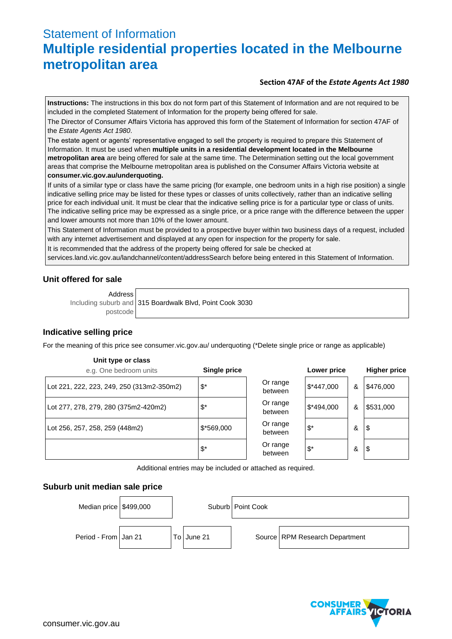# Statement of Information **Multiple residential properties located in the Melbourne metropolitan area**

# **Section 47AF of the** *Estate Agents Act 1980*

**Instructions:** The instructions in this box do not form part of this Statement of Information and are not required to be included in the completed Statement of Information for the property being offered for sale.

The Director of Consumer Affairs Victoria has approved this form of the Statement of Information for section 47AF of the *Estate Agents Act 1980*.

The estate agent or agents' representative engaged to sell the property is required to prepare this Statement of Information. It must be used when **multiple units in a residential development located in the Melbourne metropolitan area** are being offered for sale at the same time. The Determination setting out the local government areas that comprise the Melbourne metropolitan area is published on the Consumer Affairs Victoria website at **consumer.vic.gov.au/underquoting.**

If units of a similar type or class have the same pricing (for example, one bedroom units in a high rise position) a single indicative selling price may be listed for these types or classes of units collectively, rather than an indicative selling price for each individual unit. It must be clear that the indicative selling price is for a particular type or class of units. The indicative selling price may be expressed as a single price, or a price range with the difference between the upper and lower amounts not more than 10% of the lower amount.

This Statement of Information must be provided to a prospective buyer within two business days of a request, included with any internet advertisement and displayed at any open for inspection for the property for sale.

It is recommended that the address of the property being offered for sale be checked at

services.land.vic.gov.au/landchannel/content/addressSearch before being entered in this Statement of Information.

# **Unit offered for sale**

Address

Including suburb and postcode 315 Boardwalk Blvd, Point Cook 3030

# **Indicative selling price**

For the meaning of this price see consumer.vic.gov.au/ underquoting (\*Delete single price or range as applicable)

# **Unit type or class** e.g. One bedroom units **Single price Lower price Higher price** Lot 221, 222, 223, 249, 250 (313m2-350m2)  $\begin{array}{|l|l|}\n\hline\n\text{5*} & \text{Or range} \\
\text{6*} & \text{between} \\
\hline\n\end{array}$  $$*447,000$  | &  $$476,000$ Lot 277, 278, 279, 280 (375m2-420m2)  $\begin{array}{|l|l|}\n\hline\n\text{5*} & \text{Or range} \\
\text{between} & \text{between} \\
\hline\n\end{array}$  $$*494,000$  & \$531,000 Lot 256, 257, 258, 259 (448m2)  $\begin{array}{|l|l|}\n\hline\n\end{array}$   $\begin{array}{|l|l|}\n\hline\n\end{array}$   $\begin{array}{|l|l|}\n\hline\n\end{array}$   $\begin{array}{|l|l|}\n\hline\n\end{array}$   $\begin{array}{|l|}\n\hline\n\end{array}$  Or range between \$\* & \$  $\int$ <sup>\*</sup> Or range  $\begin{array}{c|c}\n\text{D triangle} \\
\text{between} \\
\end{array}$   $\begin{array}{c|c}\n\text{A} \\
\text{D} \\
\end{array}$

Additional entries may be included or attached as required.

# **Suburb unit median sale price**